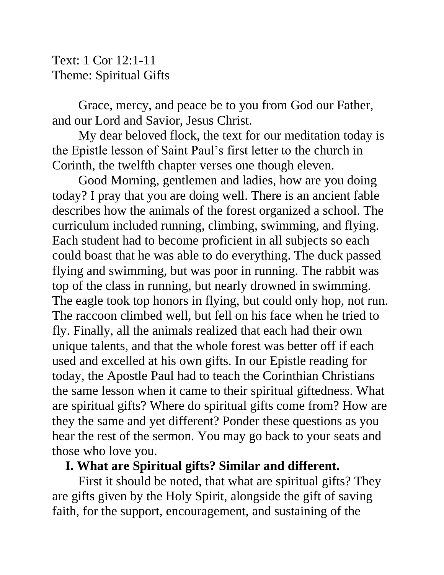## Text: 1 Cor 12:1-11 Theme: Spiritual Gifts

Grace, mercy, and peace be to you from God our Father, and our Lord and Savior, Jesus Christ.

My dear beloved flock, the text for our meditation today is the Epistle lesson of Saint Paul's first letter to the church in Corinth, the twelfth chapter verses one though eleven.

Good Morning, gentlemen and ladies, how are you doing today? I pray that you are doing well. There is an ancient fable describes how the animals of the forest organized a school. The curriculum included running, climbing, swimming, and flying. Each student had to become proficient in all subjects so each could boast that he was able to do everything. The duck passed flying and swimming, but was poor in running. The rabbit was top of the class in running, but nearly drowned in swimming. The eagle took top honors in flying, but could only hop, not run. The raccoon climbed well, but fell on his face when he tried to fly. Finally, all the animals realized that each had their own unique talents, and that the whole forest was better off if each used and excelled at his own gifts. In our Epistle reading for today, the Apostle Paul had to teach the Corinthian Christians the same lesson when it came to their spiritual giftedness. What are spiritual gifts? Where do spiritual gifts come from? How are they the same and yet different? Ponder these questions as you hear the rest of the sermon. You may go back to your seats and those who love you.

## **I. What are Spiritual gifts? Similar and different.**

First it should be noted, that what are spiritual gifts? They are gifts given by the Holy Spirit, alongside the gift of saving faith, for the support, encouragement, and sustaining of the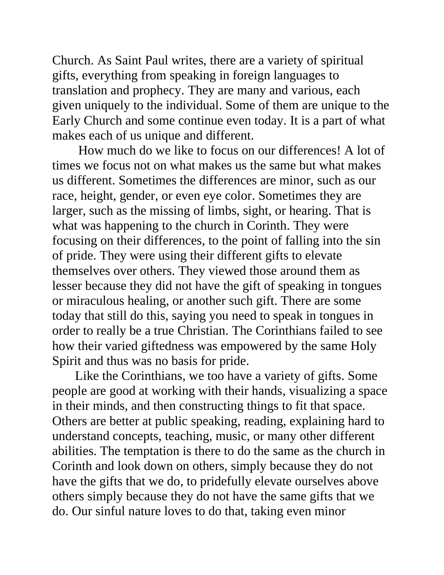Church. As Saint Paul writes, there are a variety of spiritual gifts, everything from speaking in foreign languages to translation and prophecy. They are many and various, each given uniquely to the individual. Some of them are unique to the Early Church and some continue even today. It is a part of what makes each of us unique and different.

How much do we like to focus on our differences! A lot of times we focus not on what makes us the same but what makes us different. Sometimes the differences are minor, such as our race, height, gender, or even eye color. Sometimes they are larger, such as the missing of limbs, sight, or hearing. That is what was happening to the church in Corinth. They were focusing on their differences, to the point of falling into the sin of pride. They were using their different gifts to elevate themselves over others. They viewed those around them as lesser because they did not have the gift of speaking in tongues or miraculous healing, or another such gift. There are some today that still do this, saying you need to speak in tongues in order to really be a true Christian. The Corinthians failed to see how their varied giftedness was empowered by the same Holy Spirit and thus was no basis for pride.

Like the Corinthians, we too have a variety of gifts. Some people are good at working with their hands, visualizing a space in their minds, and then constructing things to fit that space. Others are better at public speaking, reading, explaining hard to understand concepts, teaching, music, or many other different abilities. The temptation is there to do the same as the church in Corinth and look down on others, simply because they do not have the gifts that we do, to pridefully elevate ourselves above others simply because they do not have the same gifts that we do. Our sinful nature loves to do that, taking even minor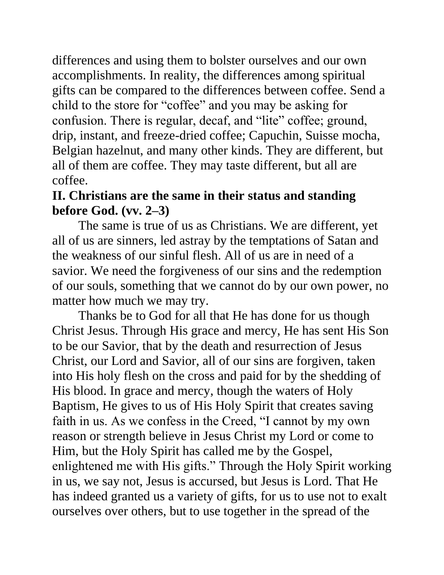differences and using them to bolster ourselves and our own accomplishments. In reality, the differences among spiritual gifts can be compared to the differences between coffee. Send a child to the store for "coffee" and you may be asking for confusion. There is regular, decaf, and "lite" coffee; ground, drip, instant, and freeze-dried coffee; Capuchin, Suisse mocha, Belgian hazelnut, and many other kinds. They are different, but all of them are coffee. They may taste different, but all are coffee.

## **II. Christians are the same in their status and standing before God. (vv. 2–3)**

The same is true of us as Christians. We are different, yet all of us are sinners, led astray by the temptations of Satan and the weakness of our sinful flesh. All of us are in need of a savior. We need the forgiveness of our sins and the redemption of our souls, something that we cannot do by our own power, no matter how much we may try.

Thanks be to God for all that He has done for us though Christ Jesus. Through His grace and mercy, He has sent His Son to be our Savior, that by the death and resurrection of Jesus Christ, our Lord and Savior, all of our sins are forgiven, taken into His holy flesh on the cross and paid for by the shedding of His blood. In grace and mercy, though the waters of Holy Baptism, He gives to us of His Holy Spirit that creates saving faith in us. As we confess in the Creed, "I cannot by my own reason or strength believe in Jesus Christ my Lord or come to Him, but the Holy Spirit has called me by the Gospel, enlightened me with His gifts." Through the Holy Spirit working in us, we say not, Jesus is accursed, but Jesus is Lord. That He has indeed granted us a variety of gifts, for us to use not to exalt ourselves over others, but to use together in the spread of the